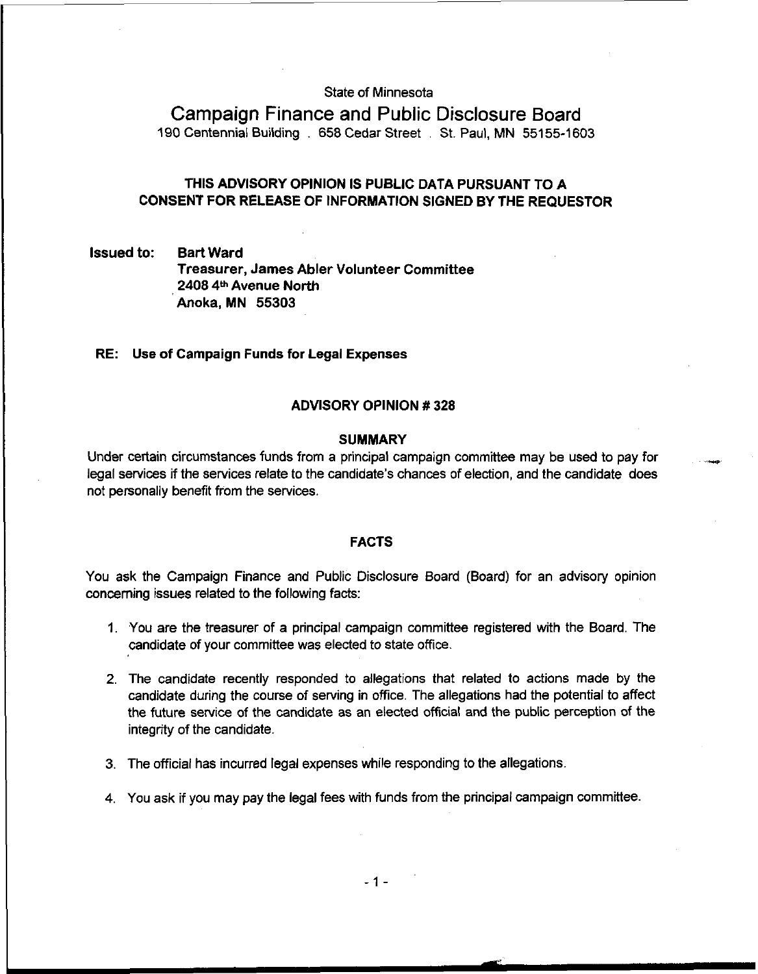## State of Minnesota

Campaign Finance and Public Disclosure Board 190 Centennial Building . 658 Cedar Street . St. Paul, MN 55155-1603

# THIS ADVISORY OPINION IS PUBLIC DATA PURSUANT TO A CONSENT FOR RELEASE OF INFORMATION SIGNED BY THE REQUESTOR

Issued to: Bart Ward Treasurer, James Abler Volunteer Committee 2408 **4b** Avenue North Anoka, MN **55303** 

#### RE: Use of Campaign Funds for Legal Expenses

### ADVISORY OPINION # 328

### **SUMMARY**

Under certain circumstances funds from a principal campaign committee may be used to pay for legal services if the services relate to the candidate's chances of election, and the candidate does not personally benefit from the services.

## FACTS

You ask the Campaign Finance and Public Disclosure Board (Board) for an advisory opinion concerning issues related to the following facts:

- 1. You are the treasurer of a principal campaign committee registered with the Board. The candidate of your committee was elected to state office.
- 2. The candidate recently responded to allegations that related to actions made by the candidate during the course of serving in office. The allegations had the potential to affect the future service of the candidate as an elected official and the public perception of the integrity of the candidate.
- 3. The official has incurred legal expenses while responding to the allegations.
- 4. You ask if you may pay the legal fees with funds from the principal campaign committee.

 $-1 -$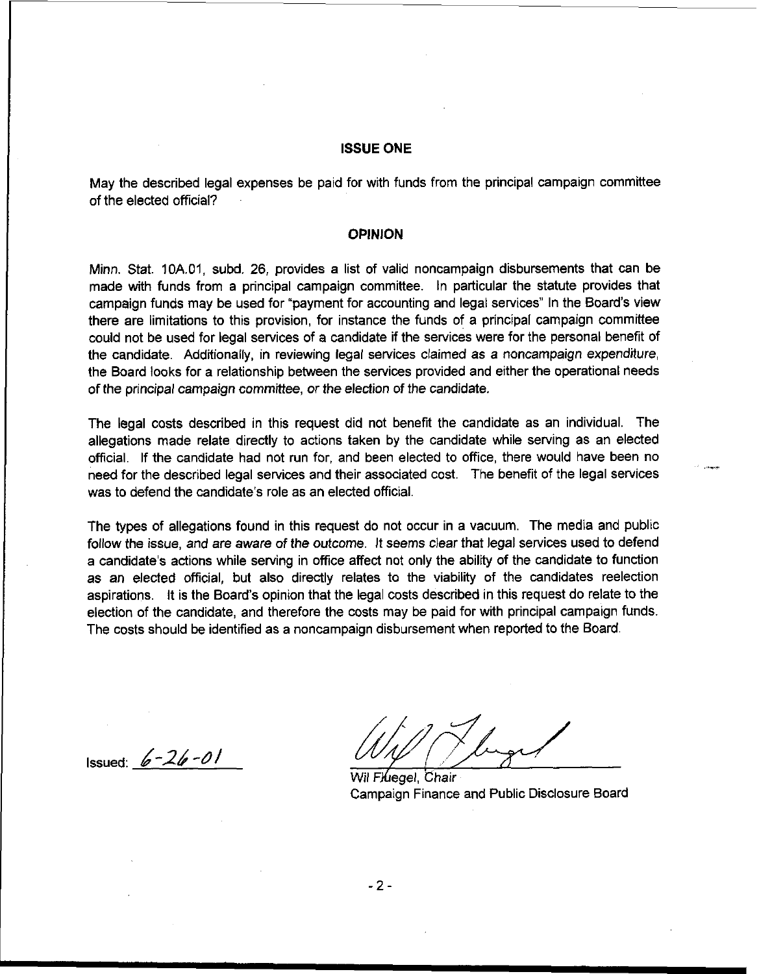## ISSUE ONE

May the described legal expenses be paid for with funds from the principal campaign committee of the elected official?

#### OPINION

Minn. Stat. 10A.01, subd. 26, provides a list of valid noncampaign disbursements that can **be**  made with funds from a principal campaign committee. In particular the statute provides that campaign funds may **be** used for "payment for accounting and legal services" In the Board's view there are limitations to this provision, for instance the funds of a principal campaign committee could not be used for legal services of a candidate if the services were for the personal benefit of the candidate. Additionally, in reviewing legal services claimed as a noncampaign expenditure, the Board looks for a relationship between the services provided and either the operational needs of the principal campaign committee, or the election of the candidate.

The legal costs described in this request did not benefit the candidate as an individual. The allegations made relate directly to actions taken by the candidate while sewing as an elected official. If the candidate had not run for, and been elected to office, there would have been no ... was to defend the candidate's role as an elected official.

The types of allegations found in this request do not occur in a vacuum. The media and public follow the issue, and are aware of the outcome. It seems clear that legal services used to defend a candidate's actions while serving in office affect not only the ability of the candidate to function as an elected official, but also directly relates to the viability of the candidates reelection aspirations. It is the Board's opinion that the legal costs described in this request do relate to the election of the candidate, and therefore the costs may be paid for with principal campaign funds. The costs should be identified as a noncarnpaign disbursement when reported to the Board.

Issued: **6-3** -dl

Wil Fluegel, Chair campaign Finance and Public Disclosure Board

 $-2-$